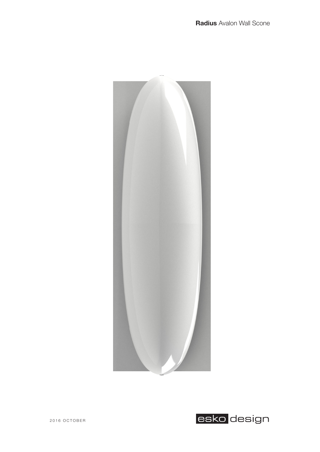